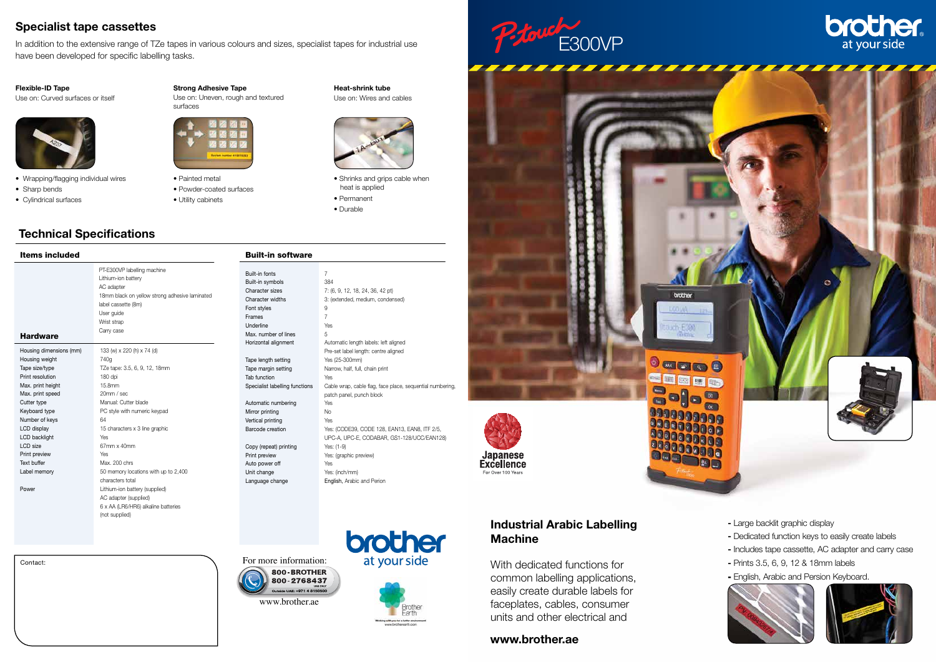



Contact:



#### Industrial Arabic Labelling Machine

With dedicated functions for common labelling applications, easily create durable labels for faceplates, cables, consumer units and other electrical and

- Large backlit graphic display
- Dedicated function keys to easily create labels
- Includes tape cassette, AC adapter and carry case
- Prints 3.5, 6, 9, 12 & 18mm labels
- English, Arabic and Persion Keyboard.





#### Items included

| <b>Hardware</b>         | PT-E300VP labelling machine<br>Lithium-ion battery<br>AC adapter<br>18mm black on yellow strong adhesive laminated<br>label cassette (8m)<br>User quide<br>Wrist strap<br>Carry case |
|-------------------------|--------------------------------------------------------------------------------------------------------------------------------------------------------------------------------------|
| Housing dimensions (mm) | 133 (w) x 220 (h) x 74 (d)                                                                                                                                                           |
| Housing weight          | 740a                                                                                                                                                                                 |
| Tape size/type          | TZe tape: 3.5, 6, 9, 12, 18mm                                                                                                                                                        |
| Print resolution        | 180 dpi                                                                                                                                                                              |
| Max. print height       | 15.8mm                                                                                                                                                                               |
| Max. print speed        | 20mm / sec                                                                                                                                                                           |
| Cutter type             | Manual: Cutter blade                                                                                                                                                                 |
| Keyboard type           | PC style with numeric keypad                                                                                                                                                         |
| Number of keys          | 64                                                                                                                                                                                   |
| LCD display             | 15 characters x 3 line graphic                                                                                                                                                       |
| LCD backlight           | Yes                                                                                                                                                                                  |
| LCD size                | 67mm x 40mm                                                                                                                                                                          |
| Print preview           | Yes                                                                                                                                                                                  |
| Text buffer             | Max. 200 chrs                                                                                                                                                                        |
| Label memory            | 50 memory locations with up to 2,400                                                                                                                                                 |
|                         | characters total                                                                                                                                                                     |
| Power                   | Lithium-ion battery (supplied)                                                                                                                                                       |
|                         | AC adapter (supplied)                                                                                                                                                                |
|                         | 6 x AA (LR6/HR6) alkaline batteries                                                                                                                                                  |
|                         | (not supplied)                                                                                                                                                                       |

In addition to the extensive range of TZe tapes in various colours and sizes, specialist tapes for industrial use have been developed for specific labelling tasks.

### Technical Specifications

## Built-in software

| Built-in fonts                 | 7                                                         |
|--------------------------------|-----------------------------------------------------------|
| Built-in symbols               | 384                                                       |
| Character sizes                | 7: (6, 9, 12, 18, 24, 36, 42 pt)                          |
| Character widths               | 3: (extended, medium, condensed)                          |
| Font styles                    | 9                                                         |
| Frames                         | 7                                                         |
| Underline                      | Yes                                                       |
| Max, number of lines           | 5                                                         |
| Horizontal alignment           | Automatic length labels: left aligned                     |
|                                | Pre-set label length: centre aligned                      |
| Tape length setting            | Yes (25-300mm)                                            |
| Tape margin setting            | Narrow, half, full, chain print                           |
| Tab function                   | <b>Yes</b>                                                |
| Specialist labelling functions | Cable wrap, cable flag, face place, sequential numbering, |
|                                | patch panel, punch block                                  |
| Automatic numbering            | Yes                                                       |
| Mirror printing                | <b>No</b>                                                 |
| Vertical printing              | Yes                                                       |
| Barcode creation               | Yes: (CODE39, CODE 128, EAN13, EAN8, ITF 2/5,             |
|                                | UPC-A, UPC-E, CODABAR, GS1-128/UCC/EAN128)                |
| Copy (repeat) printing         | Yes: (1-9)                                                |
| Print preview                  | Yes: (graphic preview)                                    |
|                                | Yes                                                       |
| Auto power off                 |                                                           |
| Unit change                    | Yes: (inch/mm)                                            |
| Language change                | English, Arabic and Perion                                |
|                                |                                                           |

#### Specialist tape cassettes

#### www.brother.ae

#### Flexible-ID Tape

Use on: Curved surfaces or itself



| Strong Adhesive Tape               |
|------------------------------------|
| Use on: Uneven, rough and textured |



Heat-shrink tube Use on: Wires and cables

- Wrapping/flagging individual wires
- Sharp bends
- Cylindrical surfaces
- Painted metal
- Powder-coated surfaces
- Utility cabinets

• Shrinks and grips cable when

heat is applied • Permanent • Durable

For more information:



# brother at your side